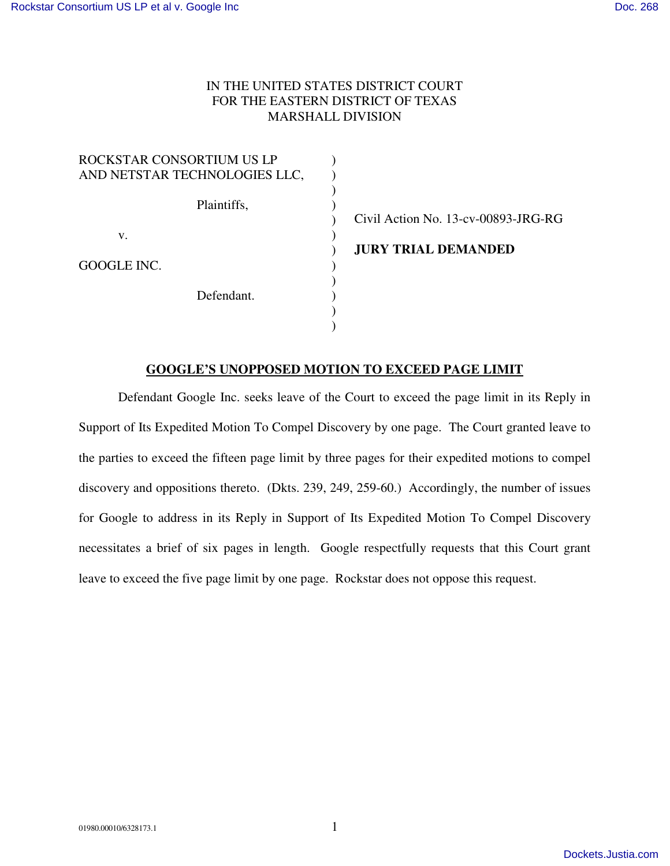## IN THE UNITED STATES DISTRICT COURT FOR THE EASTERN DISTRICT OF TEXAS MARSHALL DIVISION

| ROCKSTAR CONSORTIUM US LP     |                                     |
|-------------------------------|-------------------------------------|
| AND NETSTAR TECHNOLOGIES LLC, |                                     |
| Plaintiffs,                   | Civil Action No. 13-cv-00893-JRG-RG |
| V.                            |                                     |
|                               | <b>JURY TRIAL DEMANDED</b>          |
| GOOGLE INC.                   |                                     |
| Defendant.                    |                                     |
|                               |                                     |
|                               |                                     |

## **GOOGLE'S UNOPPOSED MOTION TO EXCEED PAGE LIMIT**

Defendant Google Inc. seeks leave of the Court to exceed the page limit in its Reply in Support of Its Expedited Motion To Compel Discovery by one page. The Court granted leave to the parties to exceed the fifteen page limit by three pages for their expedited motions to compel discovery and oppositions thereto. (Dkts. 239, 249, 259-60.) Accordingly, the number of issues for Google to address in its Reply in Support of Its Expedited Motion To Compel Discovery necessitates a brief of six pages in length. Google respectfully requests that this Court grant leave to exceed the five page limit by one page. Rockstar does not oppose this request.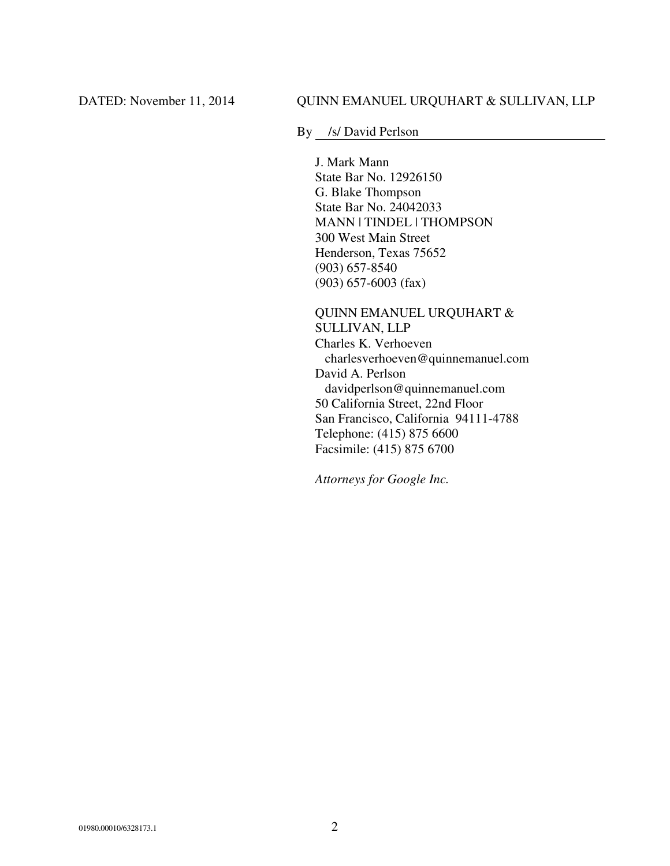By /s/ David Perlson

J. Mark Mann State Bar No. 12926150 G. Blake Thompson State Bar No. 24042033 MANN | TINDEL | THOMPSON 300 West Main Street Henderson, Texas 75652 (903) 657-8540 (903) 657-6003 (fax)

QUINN EMANUEL URQUHART & SULLIVAN, LLP Charles K. Verhoeven charlesverhoeven@quinnemanuel.com David A. Perlson davidperlson@quinnemanuel.com 50 California Street, 22nd Floor San Francisco, California 94111-4788 Telephone: (415) 875 6600 Facsimile: (415) 875 6700

*Attorneys for Google Inc.*